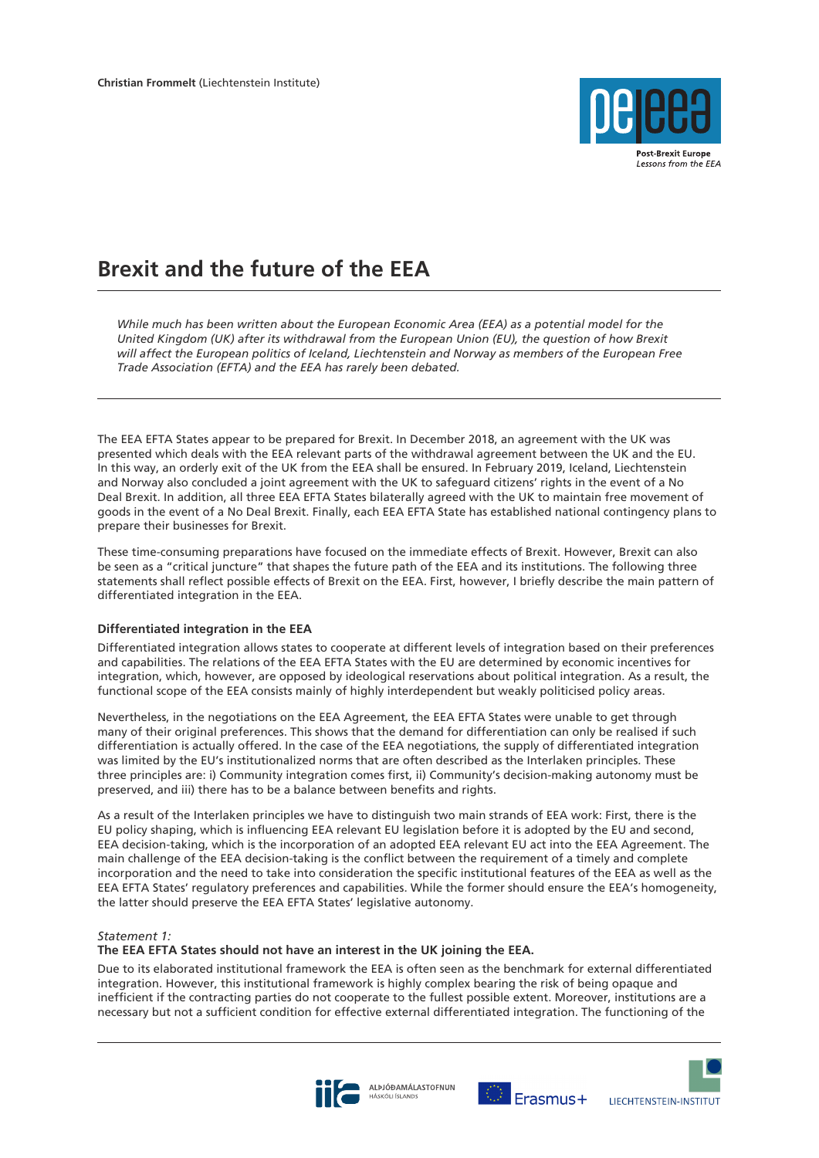

# **Brexit and the future of the EEA**

*While much has been written about the European Economic Area (EEA) as a potential model for the United Kingdom (UK) after its withdrawal from the European Union (EU), the question of how Brexit will affect the European politics of Iceland, Liechtenstein and Norway as members of the European Free Trade Association (EFTA) and the EEA has rarely been debated.*

The EEA EFTA States appear to be prepared for Brexit. In December 2018, an agreement with the UK was presented which deals with the EEA relevant parts of the withdrawal agreement between the UK and the EU. In this way, an orderly exit of the UK from the EEA shall be ensured. In February 2019, Iceland, Liechtenstein and Norway also concluded a joint agreement with the UK to safeguard citizens' rights in the event of a No Deal Brexit. In addition, all three EEA EFTA States bilaterally agreed with the UK to maintain free movement of goods in the event of a No Deal Brexit. Finally, each EEA EFTA State has established national contingency plans to prepare their businesses for Brexit.

These time-consuming preparations have focused on the immediate effects of Brexit. However, Brexit can also be seen as a "critical juncture" that shapes the future path of the EEA and its institutions. The following three statements shall reflect possible effects of Brexit on the EEA. First, however, I briefly describe the main pattern of differentiated integration in the EEA.

# **Differentiated integration in the EEA**

Differentiated integration allows states to cooperate at different levels of integration based on their preferences and capabilities. The relations of the EEA EFTA States with the EU are determined by economic incentives for integration, which, however, are opposed by ideological reservations about political integration. As a result, the functional scope of the EEA consists mainly of highly interdependent but weakly politicised policy areas.

Nevertheless, in the negotiations on the EEA Agreement, the EEA EFTA States were unable to get through many of their original preferences. This shows that the demand for differentiation can only be realised if such differentiation is actually offered. In the case of the EEA negotiations, the supply of differentiated integration was limited by the EU's institutionalized norms that are often described as the Interlaken principles. These three principles are: i) Community integration comes first, ii) Community's decision-making autonomy must be preserved, and iii) there has to be a balance between benefits and rights.

As a result of the Interlaken principles we have to distinguish two main strands of EEA work: First, there is the EU policy shaping, which is influencing EEA relevant EU legislation before it is adopted by the EU and second, EEA decision-taking, which is the incorporation of an adopted EEA relevant EU act into the EEA Agreement. The main challenge of the EEA decision-taking is the conflict between the requirement of a timely and complete incorporation and the need to take into consideration the specific institutional features of the EEA as well as the EEA EFTA States' regulatory preferences and capabilities. While the former should ensure the EEA's homogeneity, the latter should preserve the EEA EFTA States' legislative autonomy.

# *Statement 1:*

# **The EEA EFTA States should not have an interest in the UK joining the EEA.**

Due to its elaborated institutional framework the EEA is often seen as the benchmark for external differentiated integration. However, this institutional framework is highly complex bearing the risk of being opaque and inefficient if the contracting parties do not cooperate to the fullest possible extent. Moreover, institutions are a necessary but not a sufficient condition for effective external differentiated integration. The functioning of the





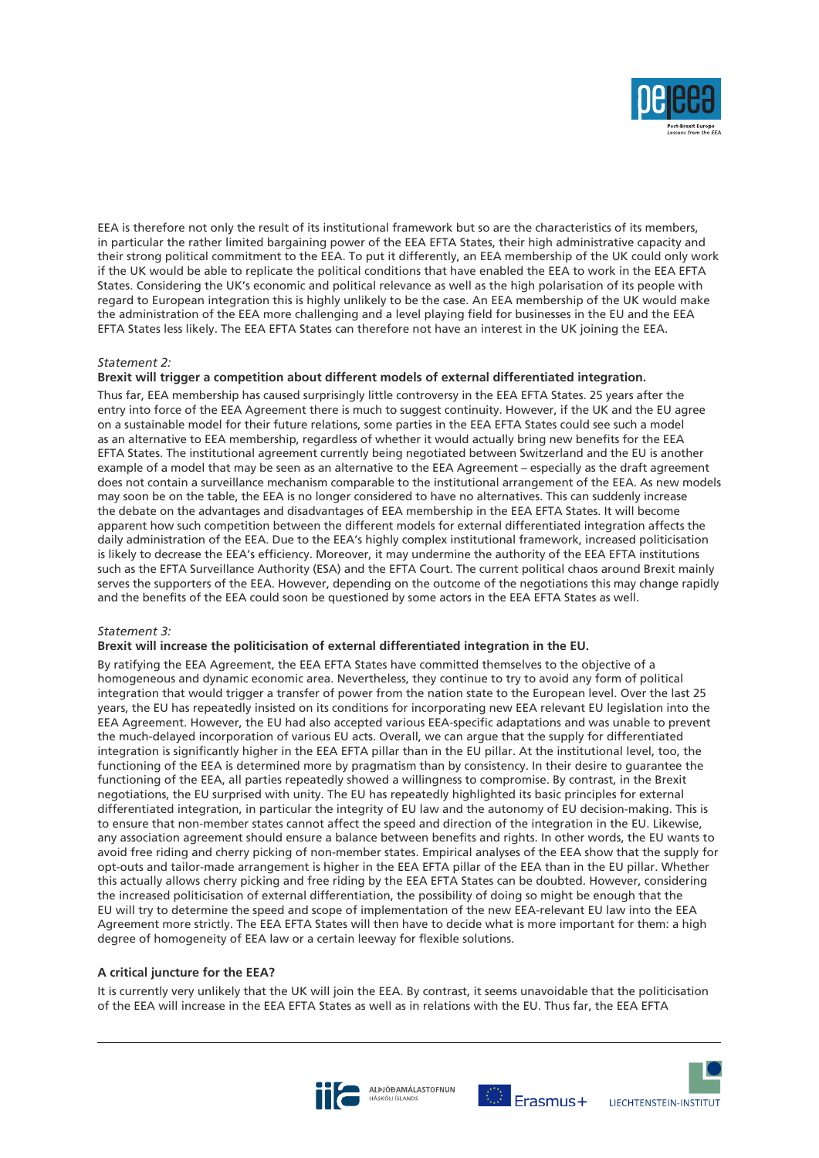

EEA is therefore not only the result of its institutional framework but so are the characteristics of its members, in particular the rather limited bargaining power of the EEA EFTA States, their high administrative capacity and their strong political commitment to the EEA. To put it differently, an EEA membership of the UK could only work if the UK would be able to replicate the political conditions that have enabled the EEA to work in the EEA EFTA States. Considering the UK's economic and political relevance as well as the high polarisation of its people with regard to European integration this is highly unlikely to be the case. An EEA membership of the UK would make the administration of the EEA more challenging and a level playing field for businesses in the EU and the EEA EFTA States less likely. The EEA EFTA States can therefore not have an interest in the UK joining the EEA.

# *Statement 2:*

# **Brexit will trigger a competition about different models of external differentiated integration.**

Thus far, EEA membership has caused surprisingly little controversy in the EEA EFTA States. 25 years after the entry into force of the EEA Agreement there is much to suggest continuity. However, if the UK and the EU agree on a sustainable model for their future relations, some parties in the EEA EFTA States could see such a model as an alternative to EEA membership, regardless of whether it would actually bring new benefits for the EEA EFTA States. The institutional agreement currently being negotiated between Switzerland and the EU is another example of a model that may be seen as an alternative to the EEA Agreement – especially as the draft agreement does not contain a surveillance mechanism comparable to the institutional arrangement of the EEA. As new models may soon be on the table, the EEA is no longer considered to have no alternatives. This can suddenly increase the debate on the advantages and disadvantages of EEA membership in the EEA EFTA States. It will become apparent how such competition between the different models for external differentiated integration affects the daily administration of the EEA. Due to the EEA's highly complex institutional framework, increased politicisation is likely to decrease the EEA's efficiency. Moreover, it may undermine the authority of the EEA EFTA institutions such as the EFTA Surveillance Authority (ESA) and the EFTA Court. The current political chaos around Brexit mainly serves the supporters of the EEA. However, depending on the outcome of the negotiations this may change rapidly and the benefits of the EEA could soon be questioned by some actors in the EEA EFTA States as well.

# *Statement 3:*

# **Brexit will increase the politicisation of external differentiated integration in the EU.**

By ratifying the EEA Agreement, the EEA EFTA States have committed themselves to the objective of a homogeneous and dynamic economic area. Nevertheless, they continue to try to avoid any form of political integration that would trigger a transfer of power from the nation state to the European level. Over the last 25 years, the EU has repeatedly insisted on its conditions for incorporating new EEA relevant EU legislation into the EEA Agreement. However, the EU had also accepted various EEA-specific adaptations and was unable to prevent the much-delayed incorporation of various EU acts. Overall, we can argue that the supply for differentiated integration is significantly higher in the EEA EFTA pillar than in the EU pillar. At the institutional level, too, the functioning of the EEA is determined more by pragmatism than by consistency. In their desire to guarantee the functioning of the EEA, all parties repeatedly showed a willingness to compromise. By contrast, in the Brexit negotiations, the EU surprised with unity. The EU has repeatedly highlighted its basic principles for external differentiated integration, in particular the integrity of EU law and the autonomy of EU decision-making. This is to ensure that non-member states cannot affect the speed and direction of the integration in the EU. Likewise, any association agreement should ensure a balance between benefits and rights. In other words, the EU wants to avoid free riding and cherry picking of non-member states. Empirical analyses of the EEA show that the supply for opt-outs and tailor-made arrangement is higher in the EEA EFTA pillar of the EEA than in the EU pillar. Whether this actually allows cherry picking and free riding by the EEA EFTA States can be doubted. However, considering the increased politicisation of external differentiation, the possibility of doing so might be enough that the EU will try to determine the speed and scope of implementation of the new EEA-relevant EU law into the EEA Agreement more strictly. The EEA EFTA States will then have to decide what is more important for them: a high degree of homogeneity of EEA law or a certain leeway for flexible solutions.

# **A critical juncture for the EEA?**

It is currently very unlikely that the UK will join the EEA. By contrast, it seems unavoidable that the politicisation of the EEA will increase in the EEA EFTA States as well as in relations with the EU. Thus far, the EEA EFTA